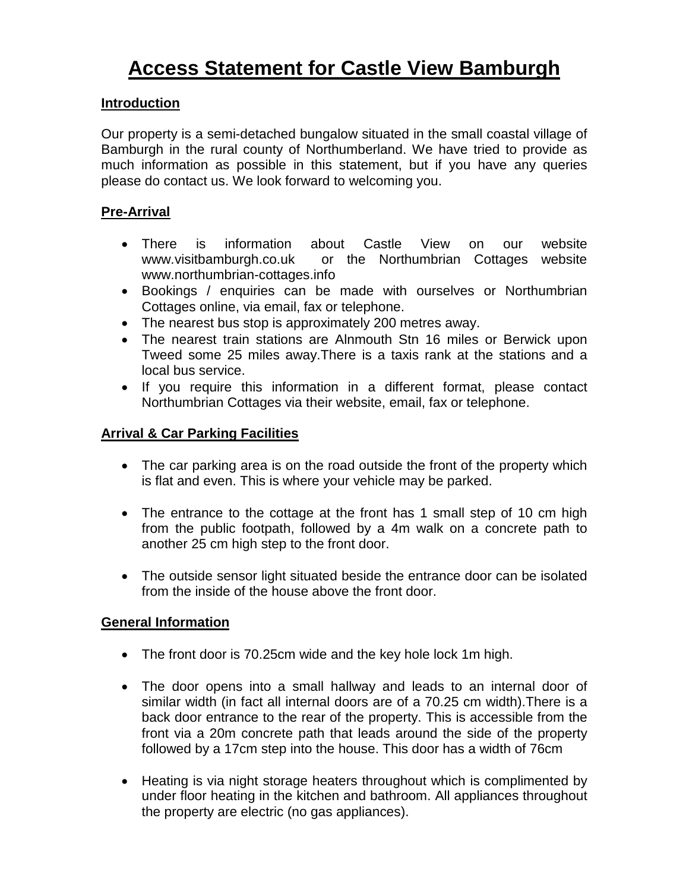### **Introduction**

Our property is a semi-detached bungalow situated in the small coastal village of Bamburgh in the rural county of Northumberland. We have tried to provide as much information as possible in this statement, but if you have any queries please do contact us. We look forward to welcoming you.

#### **Pre-Arrival**

- There is information about Castle View on our website www.visitbamburgh.co.uk or the Northumbrian Cottages website www.northumbrian-cottages.info
- Bookings / enquiries can be made with ourselves or Northumbrian Cottages online, via email, fax or telephone.
- The nearest bus stop is approximately 200 metres away.
- The nearest train stations are Alnmouth Stn 16 miles or Berwick upon Tweed some 25 miles away.There is a taxis rank at the stations and a local bus service.
- If you require this information in a different format, please contact Northumbrian Cottages via their website, email, fax or telephone.

#### **Arrival & Car Parking Facilities**

- The car parking area is on the road outside the front of the property which is flat and even. This is where your vehicle may be parked.
- The entrance to the cottage at the front has 1 small step of 10 cm high from the public footpath, followed by a 4m walk on a concrete path to another 25 cm high step to the front door.
- The outside sensor light situated beside the entrance door can be isolated from the inside of the house above the front door.

### **General Information**

- The front door is 70.25cm wide and the key hole lock 1m high.
- The door opens into a small hallway and leads to an internal door of similar width (in fact all internal doors are of a 70.25 cm width).There is a back door entrance to the rear of the property. This is accessible from the front via a 20m concrete path that leads around the side of the property followed by a 17cm step into the house. This door has a width of 76cm
- Heating is via night storage heaters throughout which is complimented by under floor heating in the kitchen and bathroom. All appliances throughout the property are electric (no gas appliances).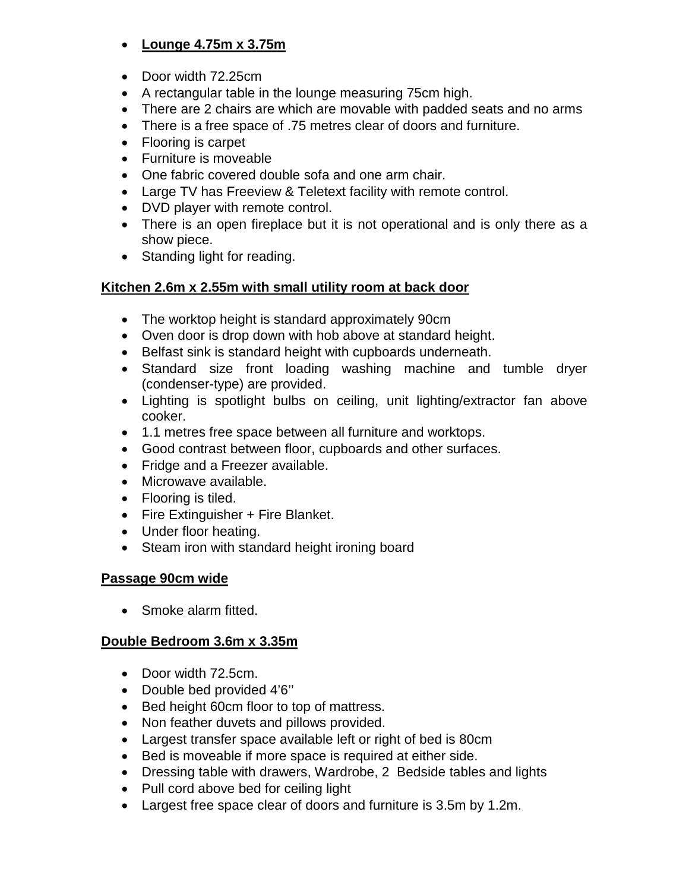## • **Lounge 4.75m x 3.75m**

- Door width 72.25cm
- A rectangular table in the lounge measuring 75cm high.
- There are 2 chairs are which are movable with padded seats and no arms
- There is a free space of .75 metres clear of doors and furniture.
- Flooring is carpet
- Furniture is moveable
- One fabric covered double sofa and one arm chair.
- Large TV has Freeview & Teletext facility with remote control.
- DVD player with remote control.
- There is an open fireplace but it is not operational and is only there as a show piece.
- Standing light for reading.

# **Kitchen 2.6m x 2.55m with small utility room at back door**

- The worktop height is standard approximately 90cm
- Oven door is drop down with hob above at standard height.
- Belfast sink is standard height with cupboards underneath.
- Standard size front loading washing machine and tumble dryer (condenser-type) are provided.
- Lighting is spotlight bulbs on ceiling, unit lighting/extractor fan above cooker.
- 1.1 metres free space between all furniture and worktops.
- Good contrast between floor, cupboards and other surfaces.
- Fridge and a Freezer available.
- Microwave available.
- Flooring is tiled.
- Fire Extinguisher + Fire Blanket.
- Under floor heating.
- Steam iron with standard height ironing board

## **Passage 90cm wide**

• Smoke alarm fitted.

# **Double Bedroom 3.6m x 3.35m**

- Door width 72.5cm.
- Double bed provided 4'6''
- Bed height 60cm floor to top of mattress.
- Non feather duvets and pillows provided.
- Largest transfer space available left or right of bed is 80cm
- Bed is moveable if more space is required at either side.
- Dressing table with drawers, Wardrobe, 2 Bedside tables and lights
- Pull cord above bed for ceiling light
- Largest free space clear of doors and furniture is 3.5m by 1.2m.